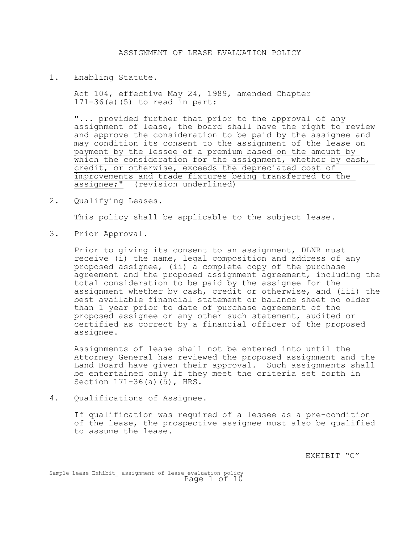1. Enabling Statute.

Act 104, effective May 24, 1989, amended Chapter 171-36(a)(5) to read in part:

"... provided further that prior to the approval of any assignment of lease, the board shall have the right to review and approve the consideration to be paid by the assignee and may condition its consent to the assignment of the lease on payment by the lessee of a premium based on the amount by which the consideration for the assignment, whether by cash, credit, or otherwise, exceeds the depreciated cost of improvements and trade fixtures being transferred to the assignee;" (revision underlined)

2. Qualifying Leases.

This policy shall be applicable to the subject lease.

3. Prior Approval.

Prior to giving its consent to an assignment, DLNR must receive (i) the name, legal composition and address of any proposed assignee, (ii) a complete copy of the purchase agreement and the proposed assignment agreement, including the total consideration to be paid by the assignee for the assignment whether by cash, credit or otherwise, and (iii) the best available financial statement or balance sheet no older than 1 year prior to date of purchase agreement of the proposed assignee or any other such statement, audited or certified as correct by a financial officer of the proposed assignee.

Assignments of lease shall not be entered into until the Attorney General has reviewed the proposed assignment and the Land Board have given their approval. Such assignments shall be entertained only if they meet the criteria set forth in Section 171-36(a)(5), HRS.

4. Qualifications of Assignee.

If qualification was required of a lessee as a pre-condition of the lease, the prospective assignee must also be qualified to assume the lease.

EXHIBIT "C"

Sample Lease Exhibit assignment of lease evaluation policy Page 1 of 10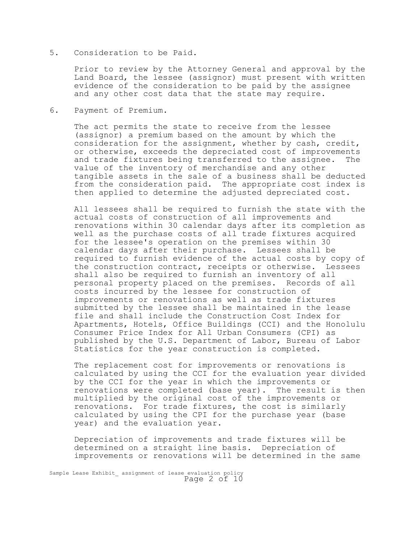## 5. Consideration to be Paid.

Prior to review by the Attorney General and approval by the Land Board, the lessee (assignor) must present with written evidence of the consideration to be paid by the assignee and any other cost data that the state may require.

6. Payment of Premium.

The act permits the state to receive from the lessee (assignor) a premium based on the amount by which the consideration for the assignment, whether by cash, credit, or otherwise, exceeds the depreciated cost of improvements<br>and trade fixtures being transferred to the assignee. The and trade fixtures being transferred to the assignee. value of the inventory of merchandise and any other tangible assets in the sale of a business shall be deducted from the consideration paid. The appropriate cost index is then applied to determine the adjusted depreciated cost.

All lessees shall be required to furnish the state with the actual costs of construction of all improvements and renovations within 30 calendar days after its completion as well as the purchase costs of all trade fixtures acquired for the lessee's operation on the premises within 30 calendar days after their purchase. Lessees shall be required to furnish evidence of the actual costs by copy of the construction contract, receipts or otherwise. Lessees shall also be required to furnish an inventory of all personal property placed on the premises. Records of all costs incurred by the lessee for construction of improvements or renovations as well as trade fixtures submitted by the lessee shall be maintained in the lease file and shall include the Construction Cost Index for Apartments, Hotels, Office Buildings (CCI) and the Honolulu Consumer Price Index for All Urban Consumers (CPI) as published by the U.S. Department of Labor, Bureau of Labor Statistics for the year construction is completed.

The replacement cost for improvements or renovations is calculated by using the CCI for the evaluation year divided by the CCI for the year in which the improvements or renovations were completed (base year). The result is then multiplied by the original cost of the improvements or renovations. For trade fixtures, the cost is similarly calculated by using the CPI for the purchase year (base year) and the evaluation year.

Depreciation of improvements and trade fixtures will be determined on a straight line basis. Depreciation of improvements or renovations will be determined in the same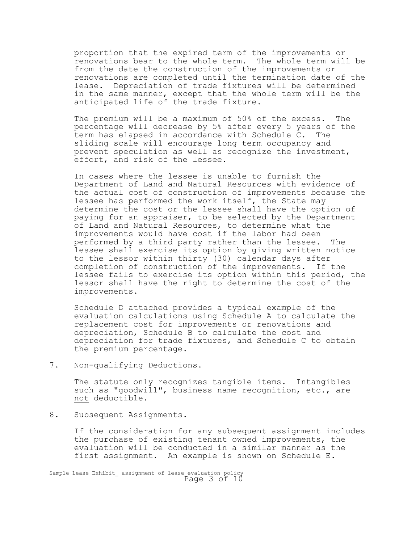proportion that the expired term of the improvements or renovations bear to the whole term. The whole term will be from the date the construction of the improvements or renovations are completed until the termination date of the lease. Depreciation of trade fixtures will be determined in the same manner, except that the whole term will be the anticipated life of the trade fixture.

The premium will be a maximum of 50% of the excess. The percentage will decrease by 5% after every 5 years of the term has elapsed in accordance with Schedule C. The sliding scale will encourage long term occupancy and prevent speculation as well as recognize the investment, effort, and risk of the lessee.

In cases where the lessee is unable to furnish the Department of Land and Natural Resources with evidence of the actual cost of construction of improvements because the lessee has performed the work itself, the State may determine the cost or the lessee shall have the option of paying for an appraiser, to be selected by the Department of Land and Natural Resources, to determine what the improvements would have cost if the labor had been performed by a third party rather than the lessee. The lessee shall exercise its option by giving written notice to the lessor within thirty (30) calendar days after completion of construction of the improvements. If the lessee fails to exercise its option within this period, the lessor shall have the right to determine the cost of the improvements.

Schedule D attached provides a typical example of the evaluation calculations using Schedule A to calculate the replacement cost for improvements or renovations and depreciation, Schedule B to calculate the cost and depreciation for trade fixtures, and Schedule C to obtain the premium percentage.

7. Non-qualifying Deductions.

The statute only recognizes tangible items. Intangibles such as "goodwill", business name recognition, etc., are not deductible.

8. Subsequent Assignments.

If the consideration for any subsequent assignment includes the purchase of existing tenant owned improvements, the evaluation will be conducted in a similar manner as the first assignment. An example is shown on Schedule E.

Sample Lease Exhibit\_ assignment of lease evaluation policy Page 3 of 10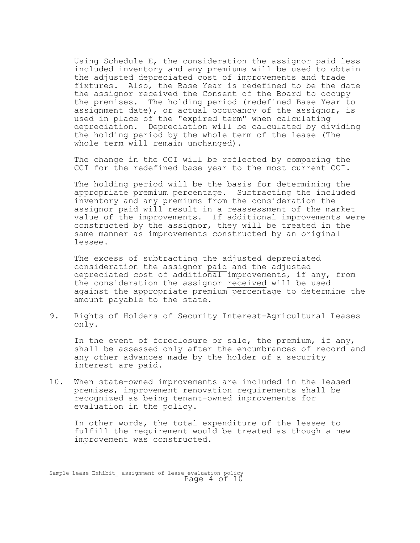Using Schedule E, the consideration the assignor paid less included inventory and any premiums will be used to obtain the adjusted depreciated cost of improvements and trade fixtures. Also, the Base Year is redefined to be the date the assignor received the Consent of the Board to occupy the premises. The holding period (redefined Base Year to assignment date), or actual occupancy of the assignor, is used in place of the "expired term" when calculating depreciation. Depreciation will be calculated by dividing the holding period by the whole term of the lease (The whole term will remain unchanged).

The change in the CCI will be reflected by comparing the CCI for the redefined base year to the most current CCI.

The holding period will be the basis for determining the appropriate premium percentage. Subtracting the included inventory and any premiums from the consideration the assignor paid will result in a reassessment of the market value of the improvements. If additional improvements were constructed by the assignor, they will be treated in the same manner as improvements constructed by an original lessee.

The excess of subtracting the adjusted depreciated consideration the assignor paid and the adjusted depreciated cost of additional improvements, if any, from the consideration the assignor received will be used against the appropriate premium percentage to determine the amount payable to the state.

9. Rights of Holders of Security Interest-Agricultural Leases only.

In the event of foreclosure or sale, the premium, if any, shall be assessed only after the encumbrances of record and any other advances made by the holder of a security interest are paid.

10. When state-owned improvements are included in the leased premises, improvement renovation requirements shall be recognized as being tenant-owned improvements for evaluation in the policy.

In other words, the total expenditure of the lessee to fulfill the requirement would be treated as though a new improvement was constructed.

Sample Lease Exhibit assignment of lease evaluation policy Page 4 of 10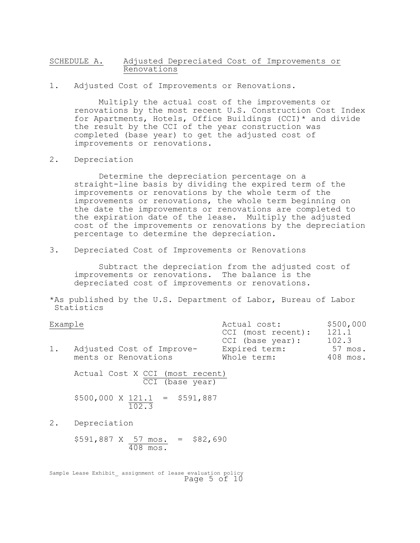# SCHEDULE A. Adjusted Depreciated Cost of Improvements or Renovations

1. Adjusted Cost of Improvements or Renovations.

Multiply the actual cost of the improvements or renovations by the most recent U.S. Construction Cost Index for Apartments, Hotels, Office Buildings (CCI)\* and divide the result by the CCI of the year construction was completed (base year) to get the adjusted cost of improvements or renovations.

### 2. Depreciation

Determine the depreciation percentage on a straight-line basis by dividing the expired term of the improvements or renovations by the whole term of the improvements or renovations, the whole term beginning on the date the improvements or renovations are completed to the expiration date of the lease. Multiply the adjusted cost of the improvements or renovations by the depreciation percentage to determine the depreciation.

3. Depreciated Cost of Improvements or Renovations

Subtract the depreciation from the adjusted cost of improvements or renovations. The balance is the depreciated cost of improvements or renovations.

\*As published by the U.S. Department of Labor, Bureau of Labor Statistics

# Example **Actual cost:** \$500,000

|                           | CCI (most recent):<br>CCI (base year): | 121.1<br>102.3 |  |
|---------------------------|----------------------------------------|----------------|--|
| Adjusted Cost of Improve- | Expired term:                          | 57 mos.        |  |
| ments or Renovations      | Whole term:                            | 408 mos.       |  |

Actual Cost X CCI (most recent) CCI (base year)

$$
$500,000 \times \frac{121.1}{102.3} = $591,887
$$

2. Depreciation

 $$591,887 \t{X} \t{57} \t{mos.} = $82,690$ <br> $\overline{408} \t{mos.}$ 

Sample Lease Exhibit assignment of lease evaluation policy Page 5 of 10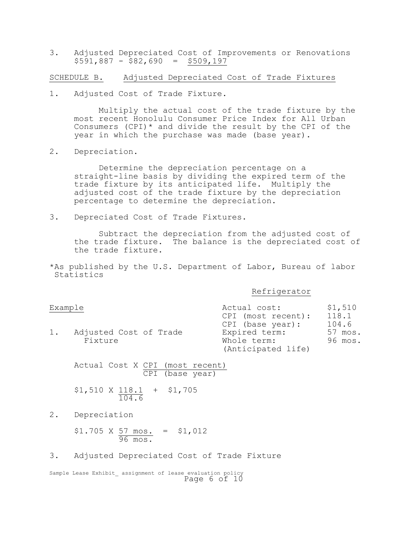3. Adjusted Depreciated Cost of Improvements or Renovations  $$591,887 - $82,690 = $509,197$ 

SCHEDULE B. Adjusted Depreciated Cost of Trade Fixtures

1. Adjusted Cost of Trade Fixture.

Multiply the actual cost of the trade fixture by the most recent Honolulu Consumer Price Index for All Urban Consumers (CPI)\* and divide the result by the CPI of the year in which the purchase was made (base year).

2. Depreciation.

Determine the depreciation percentage on a straight-line basis by dividing the expired term of the trade fixture by its anticipated life. Multiply the adjusted cost of the trade fixture by the depreciation percentage to determine the depreciation.

3. Depreciated Cost of Trade Fixtures.

Subtract the depreciation from the adjusted cost of the trade fixture. The balance is the depreciated cost of the trade fixture.

\*As published by the U.S. Department of Labor, Bureau of labor Statistics

Refrigerator

| Actual cost:       | \$1,510                                |  |
|--------------------|----------------------------------------|--|
| CPI (most recent): | 118.1<br>104.6                         |  |
| Expired term:      | 57 mos.                                |  |
| Whole term:        | 96 mos.                                |  |
|                    | CPI (base year):<br>(Anticipated life) |  |

Actual Cost X CPI (most recent) CPI (base year)

\$1,510 X 118.1 + \$1,705 104.6

2. Depreciation

 $$1.705 \times 57 \text{ mos.} = $1,012$ <br>96 mos.

3. Adjusted Depreciated Cost of Trade Fixture

Sample Lease Exhibit assignment of lease evaluation policy Page 6 of 10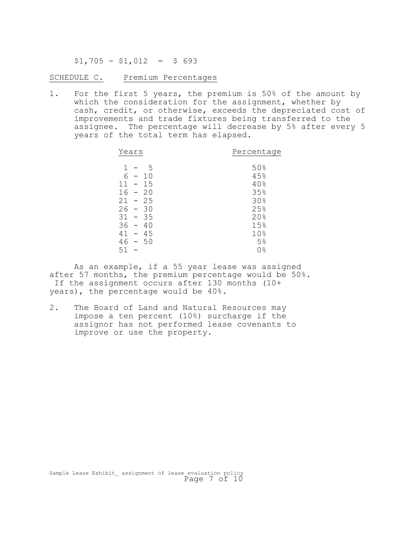$$1,705 - $1,012 = $693$ 

SCHEDULE C. Premium Percentages

1. For the first 5 years, the premium is 50% of the amount by which the consideration for the assignment, whether by cash, credit, or otherwise, exceeds the depreciated cost of improvements and trade fixtures being transferred to the assignee. The percentage will decrease by 5% after every 5 years of the total term has elapsed.

| Years                                                                                                                                             | Percentage                                    |  |  |
|---------------------------------------------------------------------------------------------------------------------------------------------------|-----------------------------------------------|--|--|
| 1<br>.5<br>6<br>1 <sub>0</sub><br>$\sim$<br>15<br>11<br>$\overline{\phantom{m}}$<br>16<br>$-20$<br>21<br>$-25$<br>26<br>30<br>$\sim$<br>$31 - 35$ | 50%<br>45%<br>40%<br>35%<br>30%<br>25%<br>20% |  |  |
| 36<br>40<br>$\sim$                                                                                                                                | 15%                                           |  |  |
| 41<br>$-45$<br>50<br>46<br>$\hspace{0.1mm}-\hspace{0.1mm}$                                                                                        | 10%<br>5%                                     |  |  |
| 51                                                                                                                                                | 0%                                            |  |  |

As an example, if a 55 year lease was assigned after 57 months, the premium percentage would be 50%. If the assignment occurs after 130 months (10+ years), the percentage would be 40%.

2. The Board of Land and Natural Resources may impose a ten percent (10%) surcharge if the assignor has not performed lease covenants to improve or use the property.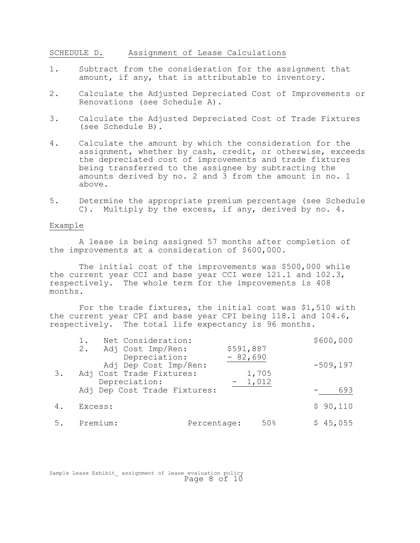SCHEDULE D. Assignment of Lease Calculations

- 1. Subtract from the consideration for the assignment that amount, if any, that is attributable to inventory.
- 2. Calculate the Adjusted Depreciated Cost of Improvements or Renovations (see Schedule A).
- 3. Calculate the Adjusted Depreciated Cost of Trade Fixtures (see Schedule B).
- 4. Calculate the amount by which the consideration for the assignment, whether by cash, credit, or otherwise, exceeds the depreciated cost of improvements and trade fixtures being transferred to the assignee by subtracting the amounts derived by no. 2 and 3 from the amount in no. 1 above.
- 5. Determine the appropriate premium percentage (see Schedule C). Multiply by the excess, if any, derived by no. 4.

#### Example

A lease is being assigned 57 months after completion of the improvements at a consideration of \$600,000.

The initial cost of the improvements was \$500,000 while the current year CCI and base year CCI were 121.1 and 102.3, respectively. The whole term for the improvements is 408 months.

For the trade fixtures, the initial cost was \$1,510 with the current year CPI and base year CPI being 118.1 and 104.6, respectively. The total life expectancy is 96 months.

| \$600,000   |
|-------------|
|             |
| $-509, 197$ |
|             |
| 693         |
| \$90,110    |
| \$45,055    |
|             |

Sample Lease Exhibit assignment of lease evaluation policy Page 8 of 10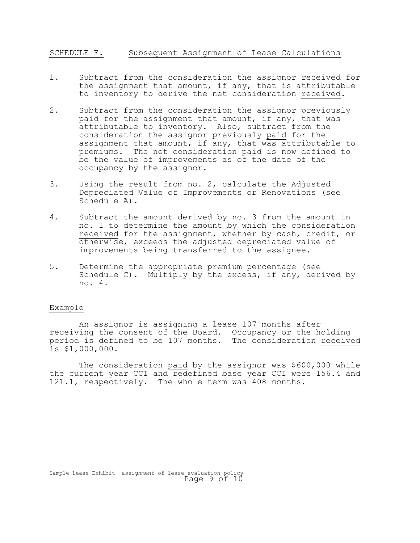# SCHEDULE E. Subsequent Assignment of Lease Calculations

- 1. Subtract from the consideration the assignor received for the assignment that amount, if any, that is attributable to inventory to derive the net consideration received.
- 2. Subtract from the consideration the assignor previously paid for the assignment that amount, if any, that was attributable to inventory. Also, subtract from the consideration the assignor previously paid for the assignment that amount, if any, that was attributable to premiums. The net consideration paid is now defined to be the value of improvements as of the date of the occupancy by the assignor.
- 3. Using the result from no. 2, calculate the Adjusted Depreciated Value of Improvements or Renovations (see Schedule A).
- 4. Subtract the amount derived by no. 3 from the amount in no. 1 to determine the amount by which the consideration received for the assignment, whether by cash, credit, or otherwise, exceeds the adjusted depreciated value of improvements being transferred to the assignee.
- 5. Determine the appropriate premium percentage (see Schedule C). Multiply by the excess, if any, derived by no. 4.

### Example

An assignor is assigning a lease 107 months after receiving the consent of the Board. Occupancy or the holding period is defined to be 107 months. The consideration received is \$1,000,000.

The consideration paid by the assignor was \$600,000 while the current year CCI and redefined base year CCI were 156.4 and 121.1, respectively. The whole term was 408 months.